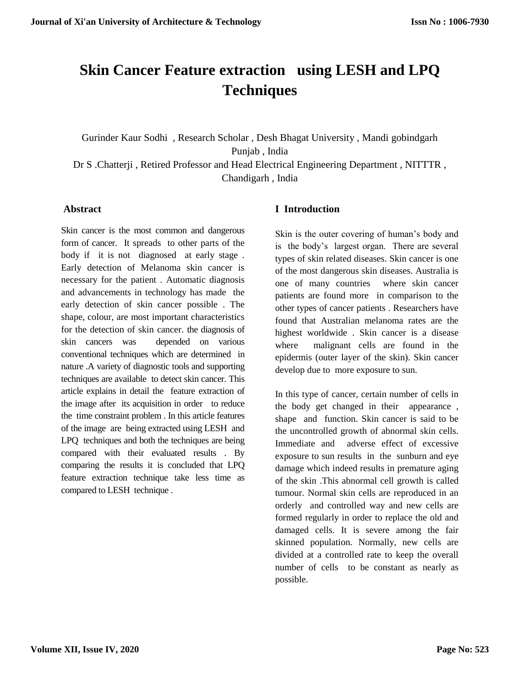# **Skin Cancer Feature extraction using LESH and LPQ Techniques**

Gurinder Kaur Sodhi , Research Scholar , Desh Bhagat University , Mandi gobindgarh Punjab , India

Dr S .Chatterji , Retired Professor and Head Electrical Engineering Department , NITTTR , Chandigarh , India

#### **Abstract**

Skin cancer is the most common and dangerous form of cancer. It spreads to other parts of the body if it is not diagnosed at early stage . Early detection of Melanoma skin cancer is necessary for the patient . Automatic diagnosis and advancements in technology has made the early detection of skin cancer possible . The shape, colour, are most important characteristics for the detection of skin cancer. the diagnosis of skin cancers was depended on various conventional techniques which are determined in nature .A variety of diagnostic tools and supporting techniques are available to detect skin cancer. This article explains in detail the feature extraction of the image after its acquisition in order to reduce the time constraint problem . In this article features of the image are being extracted using LESH and LPQ techniques and both the techniques are being compared with their evaluated results . By comparing the results it is concluded that LPQ feature extraction technique take less time as compared to LESH technique .

### **I Introduction**

Skin is the outer covering of human's body and is the body's largest organ. There are several types of skin related diseases. Skin cancer is one of the most dangerous skin diseases. Australia is one of many countries where skin cancer patients are found more in comparison to the other types of cancer patients . Researchers have found that Australian melanoma rates are the highest worldwide . Skin cancer is a disease where malignant cells are found in the epidermis (outer layer of the skin). Skin cancer develop due to more exposure to sun.

In this type of cancer, certain number of cells in the body get changed in their appearance , shape and function. Skin cancer is said to be the uncontrolled growth of abnormal skin cells. Immediate and adverse effect of excessive exposure to sun results in the sunburn and eye damage which indeed results in premature aging of the skin .This abnormal cell growth is called tumour. Normal skin cells are reproduced in an orderly and controlled way and new cells are formed regularly in order to replace the old and damaged cells. It is severe among the fair skinned population. Normally, new cells are divided at a controlled rate to keep the overall number of cells to be constant as nearly as possible.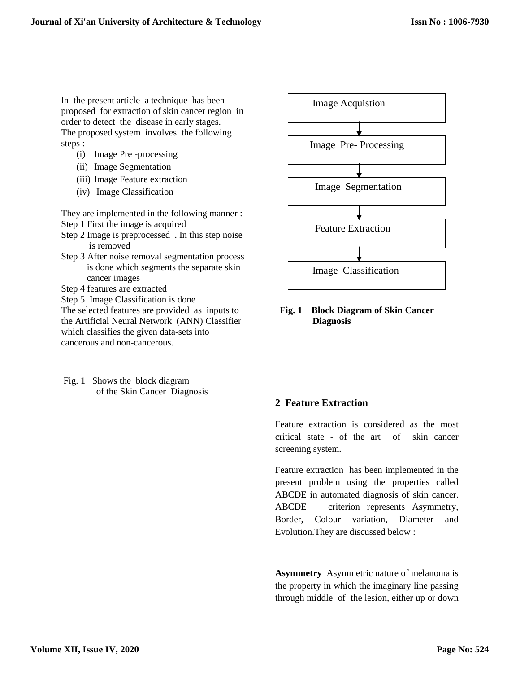In the present article a technique has been proposed for extraction of skin cancer region in order to detect the disease in early stages. The proposed system involves the following steps :

- (i) Image Pre -processing
- (ii) Image Segmentation
- (iii) Image Feature extraction
- (iv) Image Classification

They are implemented in the following manner :

- Step 1 First the image is acquired
- Step 2 Image is preprocessed . In this step noise is removed
- Step 3 After noise removal segmentation process is done which segments the separate skin cancer images
- Step 4 features are extracted
- Step 5 Image Classification is done

The selected features are provided as inputs to the Artificial Neural Network (ANN) Classifier which classifies the given data-sets into cancerous and non-cancerous.

Fig. 1 Shows the block diagram of the Skin Cancer Diagnosis



#### **Fig. 1 Block Diagram of Skin Cancer Diagnosis**

#### **2 Feature Extraction**

Feature extraction is considered as the most critical state - of the art of skin cancer screening system.

Feature extraction has been implemented in the present problem using the properties called ABCDE in automated diagnosis of skin cancer. ABCDE criterion represents Asymmetry, Border, Colour variation, Diameter and Evolution.They are discussed below :

**Asymmetry** Asymmetric nature of melanoma is the property in which the imaginary line passing through middle of the lesion, either up or down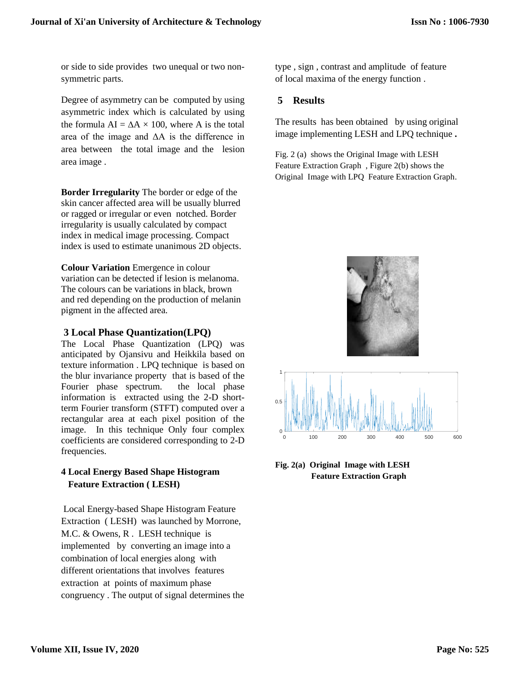or side to side provides two unequal or two nonsymmetric parts.

Degree of asymmetry can be computed by using asymmetric index which is calculated by using the formula  $AI = \Delta A \times 100$ , where A is the total area of the image and ΔA is the difference in area between the total image and the lesion area image .

**Border Irregularity** The border or edge of the skin cancer affected area will be usually blurred or ragged or irregular or even notched. Border irregularity is usually calculated by compact index in medical image processing. Compact index is used to estimate unanimous 2D objects.

**Colour Variation** Emergence in colour variation can be detected if lesion is melanoma. The colours can be variations in black, brown and red depending on the production of melanin pigment in the affected area.

#### **3 Local Phase Quantization(LPQ)**

The Local Phase Quantization (LPQ) was anticipated by Ojansivu and Heikkila based on texture information . LPQ technique is based on the blur invariance property that is based of the Fourier phase spectrum. the local phase information is extracted using the 2-D shortterm Fourier transform (STFT) computed over a rectangular area at each pixel position of the image. In this technique Only four complex coefficients are considered corresponding to 2-D frequencies.

## **4 Local Energy Based Shape Histogram Feature Extraction ( LESH)**

Local Energy-based Shape Histogram Feature Extraction ( LESH) was launched by Morrone, M.C. & Owens, R . LESH technique is implemented by converting an image into a combination of local energies along with different orientations that involves features extraction at points of maximum phase congruency . The output of signal determines the type , sign , contrast and amplitude of feature of local maxima of the energy function .

## **5 Results**

The results has been obtained by using original image implementing LESH and LPQ technique **.** 

Fig. 2 (a) shows the Original Image with LESH Feature Extraction Graph , Figure 2(b) shows the Original Image with LPQ Feature Extraction Graph.



**Fig. 2(a) Original Image with LESH Feature Extraction Graph**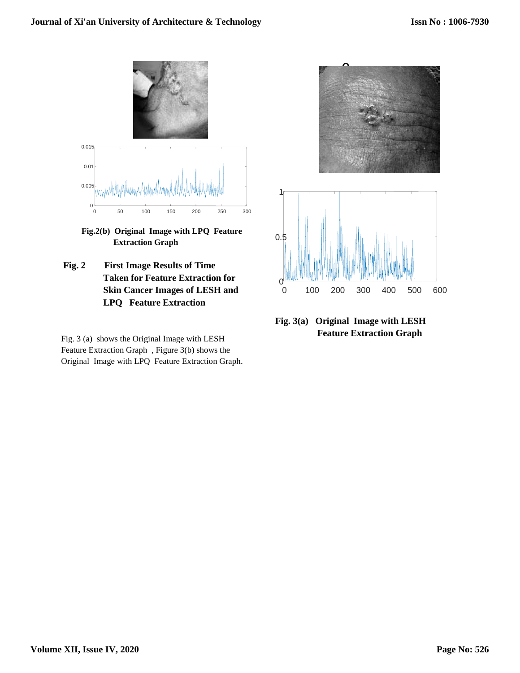

**Fig.2(b) Original Image with LPQ Feature Extraction Graph**

**Fig. 2 First Image Results of Time Taken for Feature Extraction for Skin Cancer Images of LESH and LPQ Feature Extraction**

Fig. 3 (a) shows the Original Image with LESH Feature Extraction Graph , Figure 3(b) shows the Original Image with LPQ Feature Extraction Graph.



## **Fig. 3(a) Original Image with LESH Feature Extraction Graph**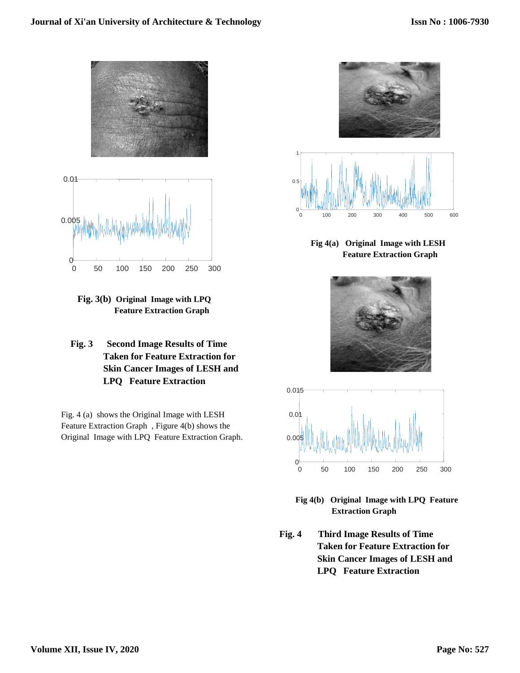



 **Fig. 3(b) Original Image with LPQ Feature Extraction Graph**

 **Fig. 3 Second Image Results of Time Taken for Feature Extraction for Skin Cancer Images of LESH and LPQ Feature Extraction**

Fig. 4 (a) shows the Original Image with LESH Feature Extraction Graph , Figure 4(b) shows the Original Image with LPQ Feature Extraction Graph.



**Fig 4(a) Original Image with LESH Feature Extraction Graph**





**Fig 4(b) Original Image with LPQ Feature Extraction Graph** 

 **Fig. 4 Third Image Results of Time Taken for Feature Extraction for Skin Cancer Images of LESH and LPQ Feature Extraction**